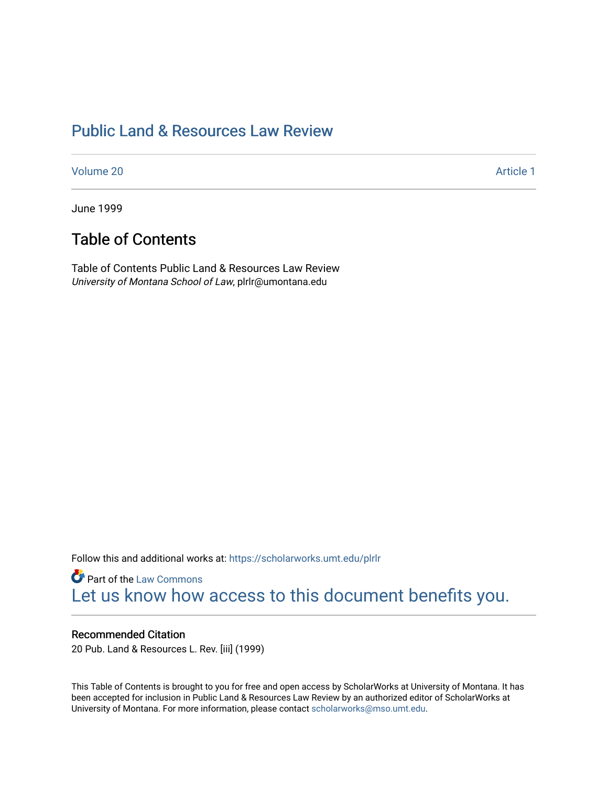### [Public Land & Resources Law Review](https://scholarworks.umt.edu/plrlr)

[Volume 20](https://scholarworks.umt.edu/plrlr/vol20) [Article 1](https://scholarworks.umt.edu/plrlr/vol20/iss1/1) 

June 1999

### Table of Contents

Table of Contents Public Land & Resources Law Review University of Montana School of Law, plrlr@umontana.edu

Follow this and additional works at: [https://scholarworks.umt.edu/plrlr](https://scholarworks.umt.edu/plrlr?utm_source=scholarworks.umt.edu%2Fplrlr%2Fvol20%2Fiss1%2F1&utm_medium=PDF&utm_campaign=PDFCoverPages) 

**Part of the [Law Commons](http://network.bepress.com/hgg/discipline/578?utm_source=scholarworks.umt.edu%2Fplrlr%2Fvol20%2Fiss1%2F1&utm_medium=PDF&utm_campaign=PDFCoverPages)** [Let us know how access to this document benefits you.](https://goo.gl/forms/s2rGfXOLzz71qgsB2) 

#### Recommended Citation

20 Pub. Land & Resources L. Rev. [iii] (1999)

This Table of Contents is brought to you for free and open access by ScholarWorks at University of Montana. It has been accepted for inclusion in Public Land & Resources Law Review by an authorized editor of ScholarWorks at University of Montana. For more information, please contact [scholarworks@mso.umt.edu.](mailto:scholarworks@mso.umt.edu)